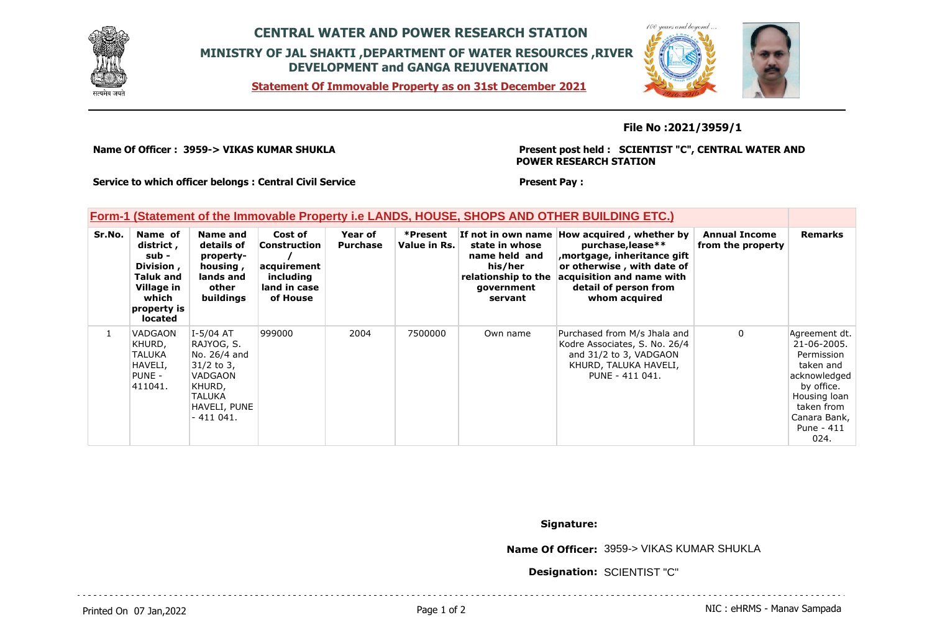

## **CENTRAL WATER AND POWER RESEARCH STATION MINISTRY OF JAL SHAKTI ,DEPARTMENT OF WATER RESOURCES ,RIVER DEVELOPMENT and GANGA REJUVENATION**

**Statement Of Immovable Property as on 31st December 2021**



### **File No :2021/3959/1**

**Name Of Officer : 3959-> VIKAS KUMAR SHUKLA** 

#### **Present post held : SCIENTIST "C", CENTRAL WATER AND POWER RESEARCH STATION**

**Service to which officer belongs : Central Civil Service**

#### **Present Pay :**

## **Form-1 (Statement of the Immovable Property i.e LANDS, HOUSE, SHOPS AND OTHER BUILDING ETC.)**

| Sr.No.       | Name of<br>district,<br>sub -<br>Division,<br><b>Taluk and</b><br>Village in<br>which<br>property is<br><b>located</b> | Name and<br>details of<br>property-<br>housing,<br>lands and<br>other<br><b>buildings</b>                              | Cost of<br>Construction<br>acquirement<br>including<br>land in case<br>of House | Year of<br><b>Purchase</b> | *Present<br>Value in Rs. | state in whose<br>name held and<br>his/her<br>relationship to the<br>qovernment<br>servant | If not in own name How acquired, whether by<br>purchase, lease**<br>mortgage, inheritance gift,<br>or otherwise, with date of<br>acquisition and name with<br>detail of person from<br>whom acquired | <b>Annual Income</b><br>from the property | <b>Remarks</b>                                                                                                                                            |
|--------------|------------------------------------------------------------------------------------------------------------------------|------------------------------------------------------------------------------------------------------------------------|---------------------------------------------------------------------------------|----------------------------|--------------------------|--------------------------------------------------------------------------------------------|------------------------------------------------------------------------------------------------------------------------------------------------------------------------------------------------------|-------------------------------------------|-----------------------------------------------------------------------------------------------------------------------------------------------------------|
| $\mathbf{1}$ | VADGAON<br>KHURD,<br>TALUKA<br>HAVELI,<br>PUNE -<br>411041.                                                            | $I-5/04$ AT<br>RAJYOG, S.<br>No. 26/4 and<br>$31/2$ to 3,<br>VADGAON<br>KHURD,<br>TALUKA<br>HAVELI, PUNE<br>$-411041.$ | 999000                                                                          | 2004                       | 7500000                  | Own name                                                                                   | Purchased from M/s Jhala and<br>Kodre Associates, S. No. 26/4<br>and 31/2 to 3, VADGAON<br>KHURD, TALUKA HAVELI,<br>PUNE - 411 041.                                                                  | $\mathbf{0}$                              | Agreement dt.<br>21-06-2005.<br>Permission<br>taken and<br>acknowledged<br>by office.<br>Housing loan<br>taken from<br>Canara Bank,<br>Pune - 411<br>024. |

**Signature:**

**Name Of Officer:** 3959-> VIKAS KUMAR SHUKLA

**Designation:** SCIENTIST "C"

Printed On 07 Jan, 2022 2001 12:00 Page 1 of 2 Page 1 of 2 NIC : eHRMS - Manav Sampada